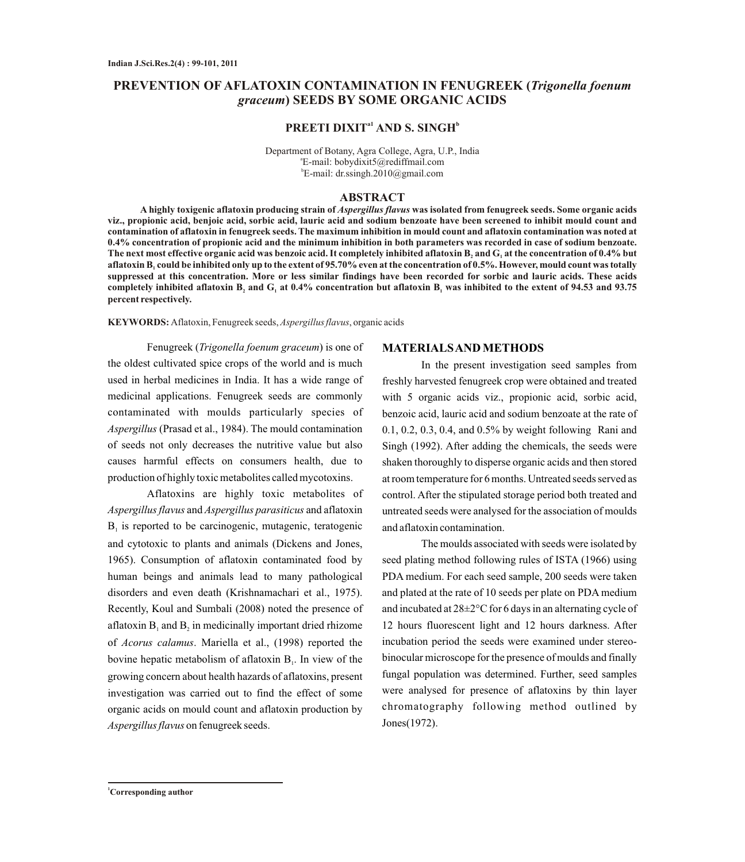# **PREVENTION OF AFLATOXIN CONTAMINATION IN FENUGREEK (***Trigonella foenum graceum***) SEEDS BY SOME ORGANIC ACIDS**

## **a1 b PREETI DIXIT AND S. SINGH**

Department of Botany, Agra College, Agra, U.P., India a E-mail: bobydixit5@rediffmail.com b E-mail: dr.ssingh.2010@gmail.com

#### **ABSTRACT**

**A highly toxigenic aflatoxin producing strain of** *Aspergillus flavus* **was isolated from fenugreek seeds. Some organic acids viz., propionic acid, benjoic acid, sorbic acid, lauric acid and sodium benzoate have been screened to inhibit mould count and contamination of aflatoxin in fenugreek seeds. The maximum inhibition in mould count and aflatoxin contamination was noted at 0.4% concentration of propionic acid and the minimum inhibition in both parameters was recorded in case of sodium benzoate. The next most effective organic acid was benzoic acid. It completely inhibited aflatoxin B and G at the concentration of 0.4% but <sup>2</sup> <sup>1</sup> aflatoxin B could be inhibited only up to the extent of 95.70% even at the concentration of 0.5%. However, mould count was totally <sup>1</sup> suppressed at this concentration. More or less similar findings have been recorded for sorbic and lauric acids. These acids**  completely inhibited aflatoxin B<sub>2</sub> and G<sub>1</sub> at 0.4% concentration but aflatoxin B<sub>1</sub> was inhibited to the extent of 94.53 and 93.75 **percent respectively.**

**KEYWORDS:** Aflatoxin, Fenugreek seeds, *Aspergillus flavus*, organic acids

Fenugreek (*Trigonella foenum graceum*) is one of the oldest cultivated spice crops of the world and is much used in herbal medicines in India. It has a wide range of medicinal applications. Fenugreek seeds are commonly contaminated with moulds particularly species of *Aspergillus* (Prasad et al., 1984). The mould contamination of seeds not only decreases the nutritive value but also causes harmful effects on consumers health, due to production of highly toxic metabolites called mycotoxins.

Aflatoxins are highly toxic metabolites of *Aspergillus flavus* and *Aspergillus parasiticus* and aflatoxin  $B<sub>1</sub>$  is reported to be carcinogenic, mutagenic, teratogenic and cytotoxic to plants and animals (Dickens and Jones, 1965). Consumption of aflatoxin contaminated food by human beings and animals lead to many pathological disorders and even death (Krishnamachari et al., 1975). Recently, Koul and Sumbali (2008) noted the presence of aflatoxin  $B_1$  and  $B_2$  in medicinally important dried rhizome of *Acorus calamus*. Mariella et al., (1998) reported the bovine hepatic metabolism of aflatoxin  $B<sub>1</sub>$ . In view of the growing concern about health hazards of aflatoxins, present investigation was carried out to find the effect of some organic acids on mould count and aflatoxin production by *Aspergillus flavus* on fenugreek seeds.

### **MATERIALS AND METHODS**

In the present investigation seed samples from freshly harvested fenugreek crop were obtained and treated with 5 organic acids viz., propionic acid, sorbic acid, benzoic acid, lauric acid and sodium benzoate at the rate of 0.1, 0.2, 0.3, 0.4, and 0.5% by weight following Rani and Singh (1992). After adding the chemicals, the seeds were shaken thoroughly to disperse organic acids and then stored at room temperature for 6 months. Untreated seeds served as control. After the stipulated storage period both treated and untreated seeds were analysed for the association of moulds and aflatoxin contamination.

The moulds associated with seeds were isolated by seed plating method following rules of ISTA (1966) using PDA medium. For each seed sample, 200 seeds were taken and plated at the rate of 10 seeds per plate on PDA medium and incubated at 28±2°C for 6 days in an alternating cycle of 12 hours fluorescent light and 12 hours darkness. After incubation period the seeds were examined under stereobinocular microscope for the presence of moulds and finally fungal population was determined. Further, seed samples were analysed for presence of aflatoxins by thin layer chromatography following method outlined by Jones(1972).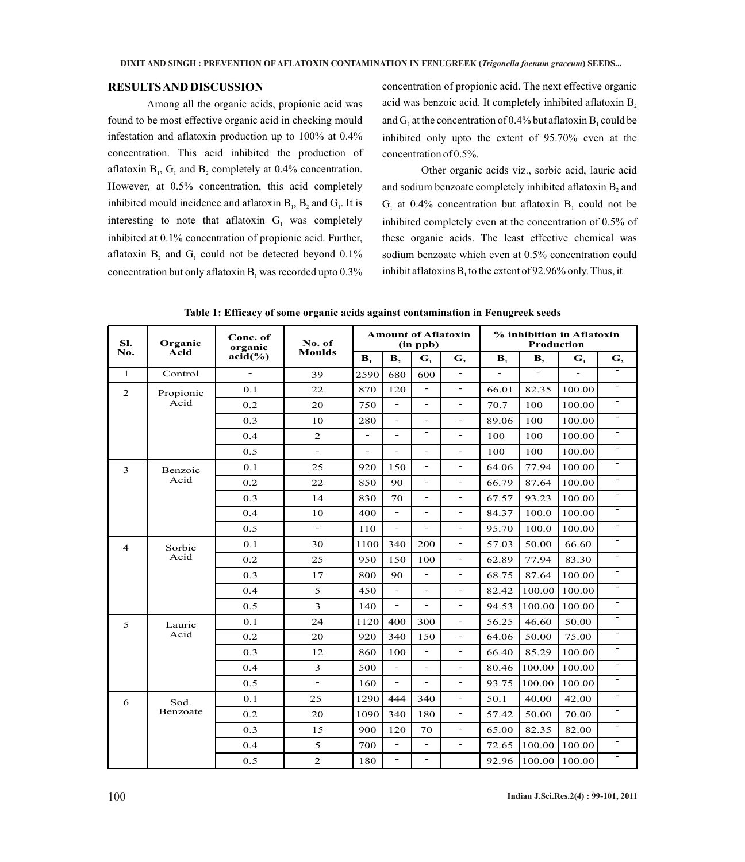### **RESULTS AND DISCUSSION**

Among all the organic acids, propionic acid was found to be most effective organic acid in checking mould infestation and aflatoxin production up to 100% at 0.4% concentration. This acid inhibited the production of aflatoxin  $B_1$ ,  $G_1$  and  $B_2$  completely at 0.4% concentration. However, at 0.5% concentration, this acid completely inhibited mould incidence and aflatoxin  $B_1$ ,  $B_2$  and  $G_1$ . It is interesting to note that aflatoxin  $G<sub>1</sub>$  was completely inhibited at 0.1% concentration of propionic acid. Further, aflatoxin  $B_2$  and  $G_1$  could not be detected beyond 0.1% concentration but only aflatoxin  $B_1$  was recorded upto 0.3%

concentration of propionic acid. The next effective organic acid was benzoic acid. It completely inhibited aflatoxin B, and  $G_1$  at the concentration of 0.4% but aflatoxin  $B_1$  could be inhibited only upto the extent of 95.70% even at the concentration of 0.5%.

Other organic acids viz., sorbic acid, lauric acid and sodium benzoate completely inhibited aflatoxin B, and  $G<sub>1</sub>$  at 0.4% concentration but aflatoxin  $B<sub>1</sub>$  could not be inhibited completely even at the concentration of 0.5% of these organic acids. The least effective chemical was sodium benzoate which even at 0.5% concentration could inhibit aflatoxins  $B_1$  to the extent of 92.96% only. Thus, it

| Sl.<br>No.     | Organic<br>Acid   | Conc. of<br>organic<br>$acid(\%)$ | No. of<br><b>Moulds</b>  | <b>Amount of Aflatoxin</b><br>(in ppb) |                          |                          |                          | % inhibition in Aflatoxin<br><b>Production</b> |                |                |                          |
|----------------|-------------------|-----------------------------------|--------------------------|----------------------------------------|--------------------------|--------------------------|--------------------------|------------------------------------------------|----------------|----------------|--------------------------|
|                |                   |                                   |                          | B <sub>1</sub>                         | $\mathbf{B}_2$           | G <sub>1</sub>           | G <sub>2</sub>           | $\mathbf{B}_1$                                 | $\mathbf{B}_2$ | G <sub>1</sub> | G <sub>2</sub>           |
| $\mathbf{1}$   | Control           | $\overline{a}$                    | 39                       | 2590                                   | 680                      | 600                      | $\overline{\phantom{a}}$ |                                                | $\overline{a}$ |                |                          |
| 2              | Propionic<br>Acid | 0.1                               | 22                       | 870                                    | 120                      | $\overline{a}$           | $\overline{\phantom{a}}$ | 66.01                                          | 82.35          | 100.00         | $\overline{\phantom{0}}$ |
|                |                   | 0.2                               | 20                       | 750                                    | $\overline{a}$           | $\overline{\phantom{0}}$ | $\overline{\phantom{a}}$ | 70.7                                           | 100            | 100.00         | $\overline{\phantom{0}}$ |
|                |                   | 0.3                               | 10                       | 280                                    | $\overline{\phantom{a}}$ | ÷.                       | $\overline{\phantom{a}}$ | 89.06                                          | 100            | 100.00         | $\overline{\phantom{a}}$ |
|                |                   | 0.4                               | 2                        | $\overline{a}$                         | $\overline{\phantom{a}}$ | ۰                        | $\overline{\phantom{a}}$ | 100                                            | 100            | 100.00         |                          |
|                |                   | 0.5                               | $\sim$                   | L.                                     | $\overline{a}$           | ÷.                       | $\overline{a}$           | 100                                            | 100            | 100.00         | L,                       |
| 3              | Benzoic<br>Acid   | 0.1                               | 25                       | 920                                    | 150                      | $\overline{\phantom{0}}$ | $\overline{\phantom{a}}$ | 64.06                                          | 77.94          | 100.00         | $\overline{\phantom{0}}$ |
|                |                   | 0.2                               | 22                       | 850                                    | 90                       | $\overline{a}$           | $\overline{\phantom{a}}$ | 66.79                                          | 87.64          | 100.00         | $\overline{\phantom{0}}$ |
|                |                   | 0.3                               | 14                       | 830                                    | 70                       | $\overline{\phantom{0}}$ | $\overline{\phantom{a}}$ | 67.57                                          | 93.23          | 100.00         |                          |
|                |                   | 0.4                               | 10                       | 400                                    | $\blacksquare$           | $\overline{\phantom{0}}$ | $\overline{\phantom{a}}$ | 84.37                                          | 100.0          | 100.00         | ۳                        |
|                |                   | 0.5                               | $\overline{\phantom{a}}$ | 110                                    | $\overline{\phantom{a}}$ | $\overline{\phantom{0}}$ | $\overline{\phantom{a}}$ | 95.70                                          | 100.0          | 100.00         | $\qquad \qquad -$        |
| $\overline{4}$ | Sorbic<br>Acid    | 0.1                               | 30                       | 1100                                   | 340                      | 200                      | $\overline{\phantom{a}}$ | 57.03                                          | 50.00          | 66.60          | $\overline{\phantom{0}}$ |
|                |                   | 0.2                               | 25                       | 950                                    | 150                      | 100                      | $\sim$                   | 62.89                                          | 77.94          | 83.30          | $\qquad \qquad -$        |
|                |                   | 0.3                               | 17                       | 800                                    | 90                       | $\overline{\phantom{0}}$ | $\overline{\phantom{a}}$ | 68.75                                          | 87.64          | 100.00         | $\overline{\phantom{0}}$ |
|                |                   | 0.4                               | 5                        | 450                                    | $\equiv$                 | $\overline{a}$           | $\overline{\phantom{a}}$ | 82.42                                          | 100.00         | 100.00         | L,                       |
|                |                   | 0.5                               | 3                        | 140                                    | $\overline{\phantom{a}}$ | $\overline{\phantom{0}}$ | $\overline{\phantom{a}}$ | 94.53                                          | 100.00         | 100.00         |                          |
| 5              | Lauric<br>Acid    | 0.1                               | 24                       | 1120                                   | 400                      | 300                      | $\overline{\phantom{a}}$ | 56.25                                          | 46.60          | 50.00          |                          |
|                |                   | 0.2                               | 20                       | 920                                    | 340                      | 150                      | $\overline{\phantom{a}}$ | 64.06                                          | 50.00          | 75.00          |                          |
|                |                   | 0.3                               | 12                       | 860                                    | 100                      | $\overline{a}$           | $\overline{\phantom{a}}$ | 66.40                                          | 85.29          | 100.00         | ۰                        |
|                |                   | 0.4                               | 3                        | 500                                    | $\overline{a}$           | $\overline{a}$           | $\overline{\phantom{a}}$ | 80.46                                          | 100.00         | 100.00         | $\qquad \qquad -$        |
|                |                   | 0.5                               | $\overline{\phantom{a}}$ | 160                                    | $\blacksquare$           | $\overline{\phantom{0}}$ | $\overline{\phantom{0}}$ | 93.75                                          | 100.00         | 100.00         | ۰                        |
| 6              | Sod.<br>Benzoate  | 0.1                               | 25                       | 1290                                   | 444                      | 340                      | $\overline{\phantom{a}}$ | 50.1                                           | 40.00          | 42.00          | $\overline{\phantom{0}}$ |
|                |                   | 0.2                               | 20                       | 1090                                   | 340                      | 180                      | $\overline{\phantom{a}}$ | 57.42                                          | 50.00          | 70.00          |                          |
|                |                   | 0.3                               | 15                       | 900                                    | 120                      | 70                       | $\overline{\phantom{a}}$ | 65.00                                          | 82.35          | 82.00          | $\overline{\phantom{a}}$ |
|                |                   | 0.4                               | 5                        | 700                                    | $\overline{\phantom{a}}$ | $\overline{\phantom{0}}$ | $\overline{\phantom{a}}$ | 72.65                                          | 100.00         | 100.00         |                          |
|                |                   | 0.5                               | 2                        | 180                                    | $\overline{\phantom{a}}$ | ÷                        |                          | 92.96                                          | 100.00         | 100.00         | $\qquad \qquad -$        |

**Table 1: Efficacy of some organic acids against contamination in Fenugreek seeds**